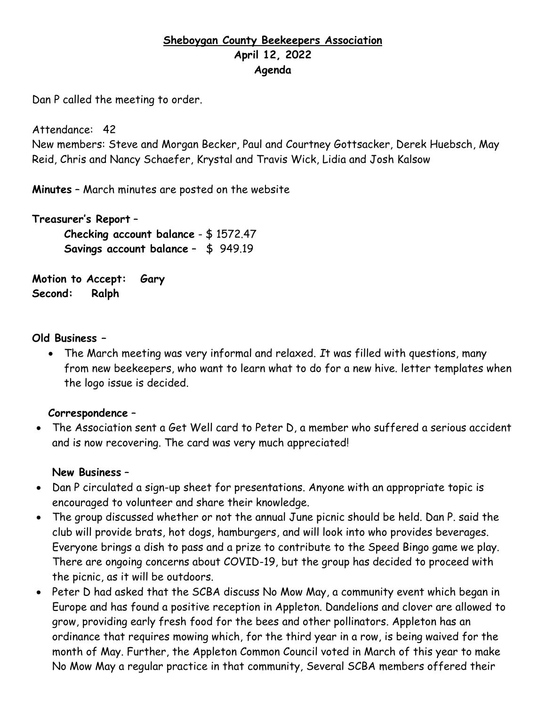# **Sheboygan County Beekeepers Association April 12, 2022 Agenda**

Dan P called the meeting to order.

Attendance: 42

New members: Steve and Morgan Becker, Paul and Courtney Gottsacker, Derek Huebsch, May Reid, Chris and Nancy Schaefer, Krystal and Travis Wick, Lidia and Josh Kalsow

**Minutes** – March minutes are posted on the website

**Treasurer's Report** – **Checking account balance** - \$ 1572.47 **Savings account balance** – \$ 949.19

**Motion to Accept: Gary Second: Ralph**

### **Old Business –**

• The March meeting was very informal and relaxed. *I*t was filled with questions, many from new beekeepers, who want to learn what to do for a new hive. letter templates when the logo issue is decided.

#### **Correspondence** –

• The Association sent a Get Well card to Peter D, a member who suffered a serious accident and is now recovering. The card was very much appreciated!

#### **New Business** –

- Dan P circulated a sign-up sheet for presentations. Anyone with an appropriate topic is encouraged to volunteer and share their knowledge.
- The group discussed whether or not the annual June picnic should be held. Dan P. said the club will provide brats, hot dogs, hamburgers, and will look into who provides beverages. Everyone brings a dish to pass and a prize to contribute to the Speed Bingo game we play. There are ongoing concerns about COVID-19, but the group has decided to proceed with the picnic, as it will be outdoors.
- Peter D had asked that the SCBA discuss No Mow May, a community event which began in Europe and has found a positive reception in Appleton. Dandelions and clover are allowed to grow, providing early fresh food for the bees and other pollinators. Appleton has an ordinance that requires mowing which, for the third year in a row, is being waived for the month of May. Further, the Appleton Common Council voted in March of this year to make No Mow May a regular practice in that community, Several SCBA members offered their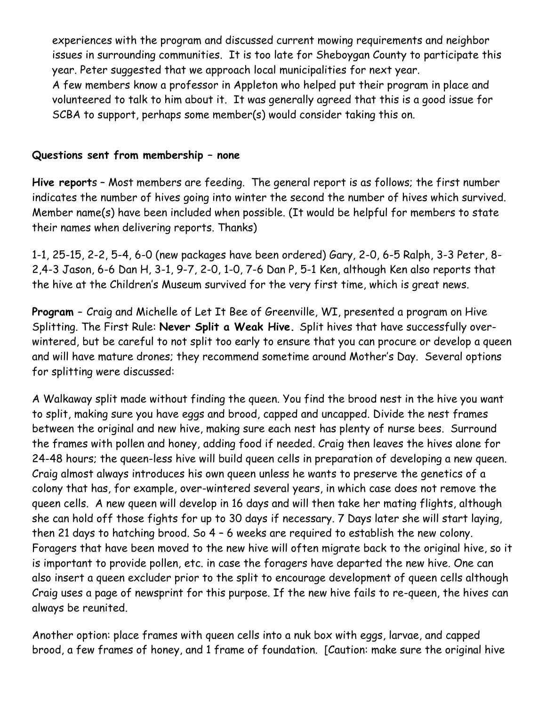experiences with the program and discussed current mowing requirements and neighbor issues in surrounding communities. It is too late for Sheboygan County to participate this year. Peter suggested that we approach local municipalities for next year. A few members know a professor in Appleton who helped put their program in place and volunteered to talk to him about it. It was generally agreed that this is a good issue for SCBA to support, perhaps some member(s) would consider taking this on.

## **Questions sent from membership – none**

**Hive report**s – Most members are feeding. The general report is as follows; the first number indicates the number of hives going into winter the second the number of hives which survived. Member name(s) have been included when possible. (It would be helpful for members to state their names when delivering reports. Thanks)

1-1, 25-15, 2-2, 5-4, 6-0 (new packages have been ordered) Gary, 2-0, 6-5 Ralph, 3-3 Peter, 8- 2,4-3 Jason, 6-6 Dan H, 3-1, 9-7, 2-0, 1-0, 7-6 Dan P, 5-1 Ken, although Ken also reports that the hive at the Children's Museum survived for the very first time, which is great news.

**Program –** Craig and Michelle of Let It Bee of Greenville, WI, presented a program on Hive Splitting. The First Rule: **Never Split a Weak Hive.** Split hives that have successfully overwintered, but be careful to not split too early to ensure that you can procure or develop a queen and will have mature drones; they recommend sometime around Mother's Day. Several options for splitting were discussed:

A Walkaway split made without finding the queen. You find the brood nest in the hive you want to split, making sure you have eggs and brood, capped and uncapped. Divide the nest frames between the original and new hive, making sure each nest has plenty of nurse bees. Surround the frames with pollen and honey, adding food if needed. Craig then leaves the hives alone for 24-48 hours; the queen-less hive will build queen cells in preparation of developing a new queen. Craig almost always introduces his own queen unless he wants to preserve the genetics of a colony that has, for example, over-wintered several years, in which case does not remove the queen cells. A new queen will develop in 16 days and will then take her mating flights, although she can hold off those fights for up to 30 days if necessary. 7 Days later she will start laying, then 21 days to hatching brood. So 4 – 6 weeks are required to establish the new colony. Foragers that have been moved to the new hive will often migrate back to the original hive, so it is important to provide pollen, etc. in case the foragers have departed the new hive. One can also insert a queen excluder prior to the split to encourage development of queen cells although Craig uses a page of newsprint for this purpose. If the new hive fails to re-queen, the hives can always be reunited.

Another option: place frames with queen cells into a nuk box with eggs, larvae, and capped brood, a few frames of honey, and 1 frame of foundation. [Caution: make sure the original hive